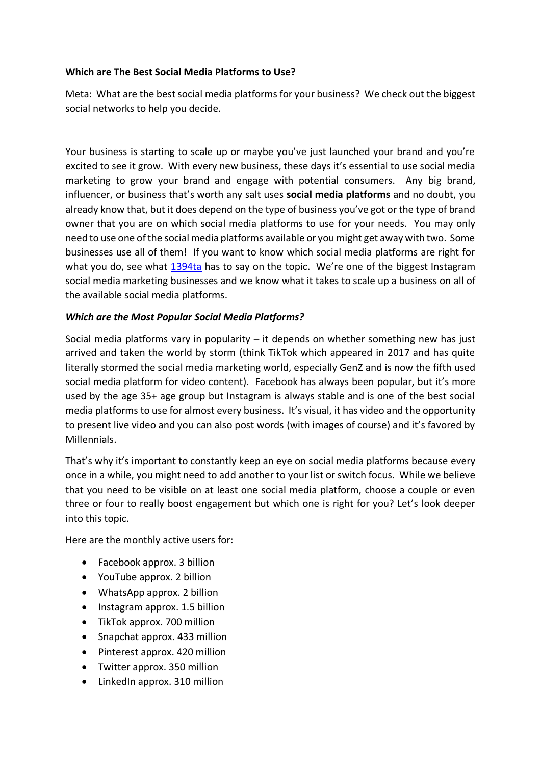#### **Which are The Best Social Media Platforms to Use?**

Meta: What are the best social media platforms for your business? We check out the biggest social networks to help you decide.

Your business is starting to scale up or maybe you've just launched your brand and you're excited to see it grow. With every new business, these days it's essential to use social media marketing to grow your brand and engage with potential consumers. Any big brand, influencer, or business that's worth any salt uses **social media platforms** and no doubt, you already know that, but it does depend on the type of business you've got or the type of brand owner that you are on which social media platforms to use for your needs. You may only need to use one of the social media platforms available or you might get away with two. Some businesses use all of them! If you want to know which social media platforms are right for what you do, see what [1394ta](https://1394ta.org/) has to say on the topic. We're one of the biggest Instagram social media marketing businesses and we know what it takes to scale up a business on all of the available social media platforms.

#### *Which are the Most Popular Social Media Platforms?*

Social media platforms vary in popularity  $-$  it depends on whether something new has just arrived and taken the world by storm (think TikTok which appeared in 2017 and has quite literally stormed the social media marketing world, especially GenZ and is now the fifth used social media platform for video content). Facebook has always been popular, but it's more used by the age 35+ age group but Instagram is always stable and is one of the best social media platforms to use for almost every business. It's visual, it has video and the opportunity to present live video and you can also post words (with images of course) and it's favored by Millennials.

That's why it's important to constantly keep an eye on social media platforms because every once in a while, you might need to add another to your list or switch focus. While we believe that you need to be visible on at least one social media platform, choose a couple or even three or four to really boost engagement but which one is right for you? Let's look deeper into this topic.

Here are the monthly active users for:

- Facebook approx. 3 billion
- YouTube approx. 2 billion
- WhatsApp approx. 2 billion
- Instagram approx. 1.5 billion
- TikTok approx. 700 million
- Snapchat approx. 433 million
- Pinterest approx. 420 million
- Twitter approx. 350 million
- LinkedIn approx. 310 million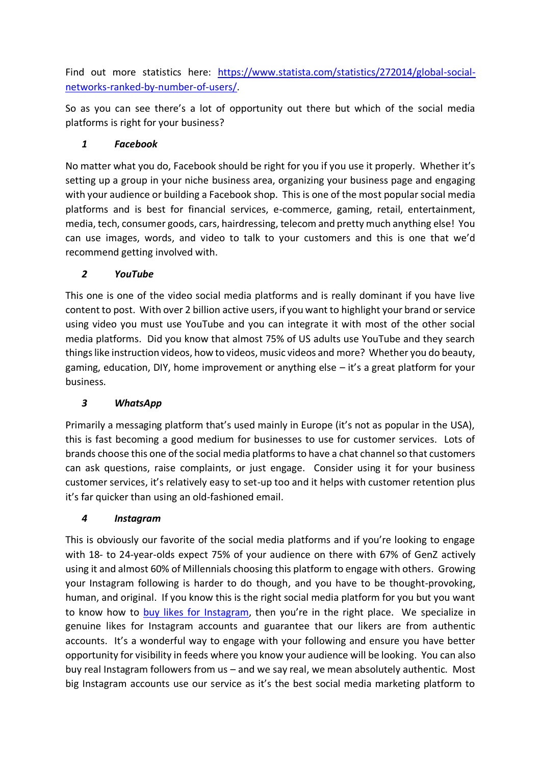Find out more statistics here: [https://www.statista.com/statistics/272014/global-social](https://www.statista.com/statistics/272014/global-social-networks-ranked-by-number-of-users/)[networks-ranked-by-number-of-users/.](https://www.statista.com/statistics/272014/global-social-networks-ranked-by-number-of-users/)

So as you can see there's a lot of opportunity out there but which of the social media platforms is right for your business?

### *1 Facebook*

No matter what you do, Facebook should be right for you if you use it properly. Whether it's setting up a group in your niche business area, organizing your business page and engaging with your audience or building a Facebook shop. This is one of the most popular social media platforms and is best for financial services, e-commerce, gaming, retail, entertainment, media, tech, consumer goods, cars, hairdressing, telecom and pretty much anything else! You can use images, words, and video to talk to your customers and this is one that we'd recommend getting involved with.

### *2 YouTube*

This one is one of the video social media platforms and is really dominant if you have live content to post. With over 2 billion active users, if you want to highlight your brand or service using video you must use YouTube and you can integrate it with most of the other social media platforms. Did you know that almost 75% of US adults use YouTube and they search things like instruction videos, how to videos, music videos and more? Whether you do beauty, gaming, education, DIY, home improvement or anything else – it's a great platform for your business.

### *3 WhatsApp*

Primarily a messaging platform that's used mainly in Europe (it's not as popular in the USA), this is fast becoming a good medium for businesses to use for customer services. Lots of brands choose this one of the social media platforms to have a chat channel so that customers can ask questions, raise complaints, or just engage. Consider using it for your business customer services, it's relatively easy to set-up too and it helps with customer retention plus it's far quicker than using an old-fashioned email.

### *4 Instagram*

This is obviously our favorite of the social media platforms and if you're looking to engage with 18- to 24-year-olds expect 75% of your audience on there with 67% of GenZ actively using it and almost 60% of Millennials choosing this platform to engage with others. Growing your Instagram following is harder to do though, and you have to be thought-provoking, human, and original. If you know this is the right social media platform for you but you want to know how to [buy likes for Instagram,](https://1394ta.org/buy-instagram-likes/) then you're in the right place. We specialize in genuine likes for Instagram accounts and guarantee that our likers are from authentic accounts. It's a wonderful way to engage with your following and ensure you have better opportunity for visibility in feeds where you know your audience will be looking. You can also buy real Instagram followers from us – and we say real, we mean absolutely authentic. Most big Instagram accounts use our service as it's the best social media marketing platform to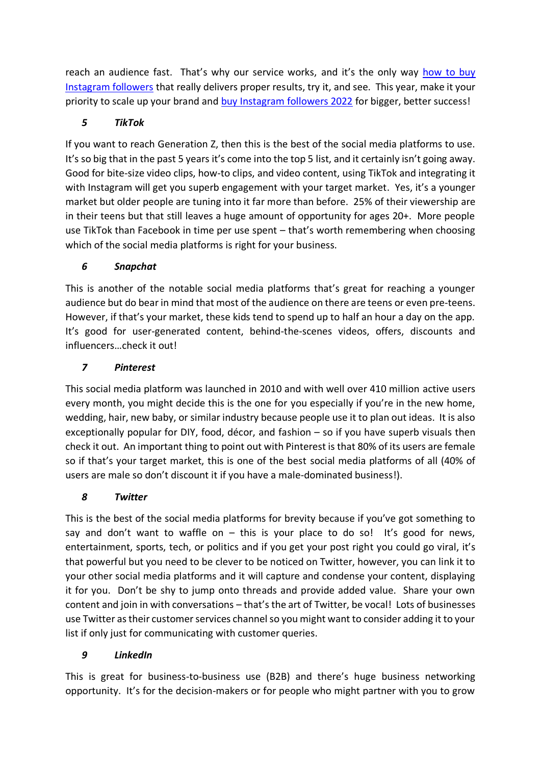reach an audience fast. That's why our service works, and it's the only way how to buy [Instagram followers](https://1394ta.org/buy-instagram-followers/) that really delivers proper results, try it, and see. This year, make it your priority to scale up your brand and [buy Instagram followers 2022](https://1394ta.org/buy-instagram-followers/) for bigger, better success!

### *5 TikTok*

If you want to reach Generation Z, then this is the best of the social media platforms to use. It's so big that in the past 5 years it's come into the top 5 list, and it certainly isn't going away. Good for bite-size video clips, how-to clips, and video content, using TikTok and integrating it with Instagram will get you superb engagement with your target market. Yes, it's a younger market but older people are tuning into it far more than before. 25% of their viewership are in their teens but that still leaves a huge amount of opportunity for ages 20+. More people use TikTok than Facebook in time per use spent – that's worth remembering when choosing which of the social media platforms is right for your business.

# *6 Snapchat*

This is another of the notable social media platforms that's great for reaching a younger audience but do bear in mind that most of the audience on there are teens or even pre-teens. However, if that's your market, these kids tend to spend up to half an hour a day on the app. It's good for user-generated content, behind-the-scenes videos, offers, discounts and influencers…check it out!

# *7 Pinterest*

This social media platform was launched in 2010 and with well over 410 million active users every month, you might decide this is the one for you especially if you're in the new home, wedding, hair, new baby, or similar industry because people use it to plan out ideas. It is also exceptionally popular for DIY, food, décor, and fashion – so if you have superb visuals then check it out. An important thing to point out with Pinterest is that 80% of its users are female so if that's your target market, this is one of the best social media platforms of all (40% of users are male so don't discount it if you have a male-dominated business!).

### *8 Twitter*

This is the best of the social media platforms for brevity because if you've got something to say and don't want to waffle on  $-$  this is your place to do so! It's good for news, entertainment, sports, tech, or politics and if you get your post right you could go viral, it's that powerful but you need to be clever to be noticed on Twitter, however, you can link it to your other social media platforms and it will capture and condense your content, displaying it for you. Don't be shy to jump onto threads and provide added value. Share your own content and join in with conversations – that's the art of Twitter, be vocal! Lots of businesses use Twitter as their customer services channel so you might want to consider adding it to your list if only just for communicating with customer queries.

# *9 LinkedIn*

This is great for business-to-business use (B2B) and there's huge business networking opportunity. It's for the decision-makers or for people who might partner with you to grow